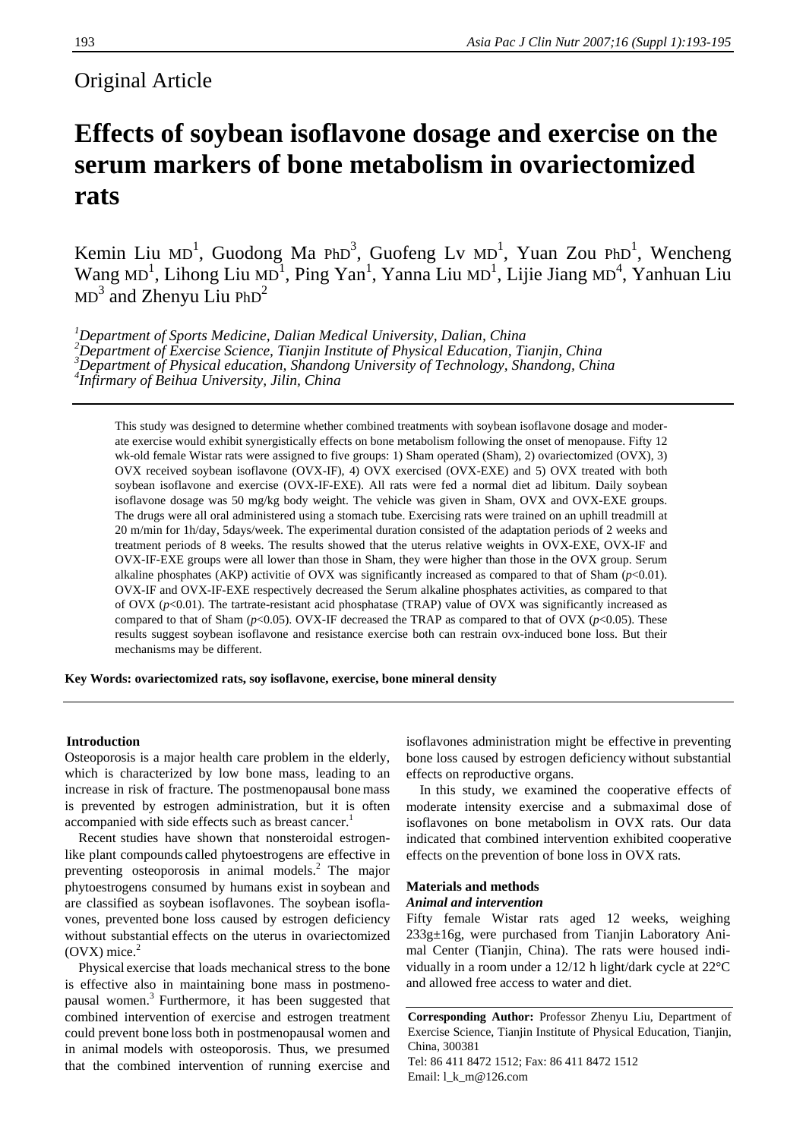# Original Article

# **Effects of soybean isoflavone dosage and exercise on the serum markers of bone metabolism in ovariectomized rats**

Kemin Liu MD<sup>1</sup>, Guodong Ma PhD<sup>3</sup>, Guofeng Lv MD<sup>1</sup>, Yuan Zou PhD<sup>1</sup>, Wencheng Wang MD<sup>1</sup>, Lihong Liu MD<sup>1</sup>, Ping Yan<sup>1</sup>, Yanna Liu MD<sup>1</sup>, Lijie Jiang MD<sup>4</sup>, Yanhuan Liu  $MD<sup>3</sup>$  and Zhenyu Liu PhD<sup>2</sup>

*1 Department of Sports Medicine, Dalian Medical University, Dalian, China 2 Department of Exercise Science, Tianjin Institute of Physical Education, Tianjin, China 3* <sup>3</sup>Department of Physical education, Shandong University of Technology, Shandong, China <sup>4</sup><br><sup>4</sup>Infirmary of Beihua University, Elin, China *Infirmary of Beihua University, Jilin, China* 

This study was designed to determine whether combined treatments with soybean isoflavone dosage and moderate exercise would exhibit synergistically effects on bone metabolism following the onset of menopause. Fifty 12 wk-old female Wistar rats were assigned to five groups: 1) Sham operated (Sham), 2) ovariectomized (OVX), 3) OVX received soybean isoflavone (OVX-IF), 4) OVX exercised (OVX-EXE) and 5) OVX treated with both soybean isoflavone and exercise (OVX-IF-EXE). All rats were fed a normal diet ad libitum. Daily soybean isoflavone dosage was 50 mg/kg body weight. The vehicle was given in Sham, OVX and OVX-EXE groups. The drugs were all oral administered using a stomach tube. Exercising rats were trained on an uphill treadmill at 20 m/min for 1h/day, 5days/week. The experimental duration consisted of the adaptation periods of 2 weeks and treatment periods of 8 weeks. The results showed that the uterus relative weights in OVX-EXE, OVX-IF and OVX-IF-EXE groups were all lower than those in Sham, they were higher than those in the OVX group. Serum alkaline phosphates (AKP) activitie of OVX was significantly increased as compared to that of Sham  $(p<0.01)$ . OVX-IF and OVX-IF-EXE respectively decreased the Serum alkaline phosphates activities, as compared to that of OVX (*p*<0.01). The tartrate-resistant acid phosphatase (TRAP) value of OVX was significantly increased as compared to that of Sham (*p*<0.05). OVX-IF decreased the TRAP as compared to that of OVX (*p*<0.05). These results suggest soybean isoflavone and resistance exercise both can restrain ovx-induced bone loss. But their mechanisms may be different.

**Key Words: ovariectomized rats, soy isoflavone, exercise, bone mineral density** 

# **Introduction**

Osteoporosis is a major health care problem in the elderly, which is characterized by low bone mass, leading to an increase in risk of fracture. The postmenopausal bone mass is prevented by estrogen administration, but it is often accompanied with side effects such as breast cancer.<sup>1</sup>

 Recent studies have shown that nonsteroidal estrogenlike plant compounds called phytoestrogens are effective in preventing osteoporosis in animal models. $^{2}$  The major phytoestrogens consumed by humans exist in soybean and are classified as soybean isoflavones. The soybean isoflavones, prevented bone loss caused by estrogen deficiency without substantial effects on the uterus in ovariectomized  $(OVX)$  mice. $<sup>2</sup>$ </sup>

 Physical exercise that loads mechanical stress to the bone is effective also in maintaining bone mass in postmenopausal women.3 Furthermore, it has been suggested that combined intervention of exercise and estrogen treatment could prevent bone loss both in postmenopausal women and in animal models with osteoporosis. Thus, we presumed that the combined intervention of running exercise and

isoflavones administration might be effective in preventing bone loss caused by estrogen deficiency without substantial effects on reproductive organs.

 In this study, we examined the cooperative effects of moderate intensity exercise and a submaximal dose of isoflavones on bone metabolism in OVX rats. Our data indicated that combined intervention exhibited cooperative effects on the prevention of bone loss in OVX rats.

#### **Materials and methods**

#### *Animal and intervention*

Fifty female Wistar rats aged 12 weeks, weighing 233g±16g, were purchased from Tianjin Laboratory Animal Center (Tianjin, China). The rats were housed individually in a room under a 12/12 h light/dark cycle at 22°C and allowed free access to water and diet.

**Corresponding Author:** Professor Zhenyu Liu, Department of Exercise Science, Tianjin Institute of Physical Education, Tianjin, China, 300381 Tel: 86 411 8472 1512; Fax: 86 411 8472 1512 Email: l\_k\_m@126.com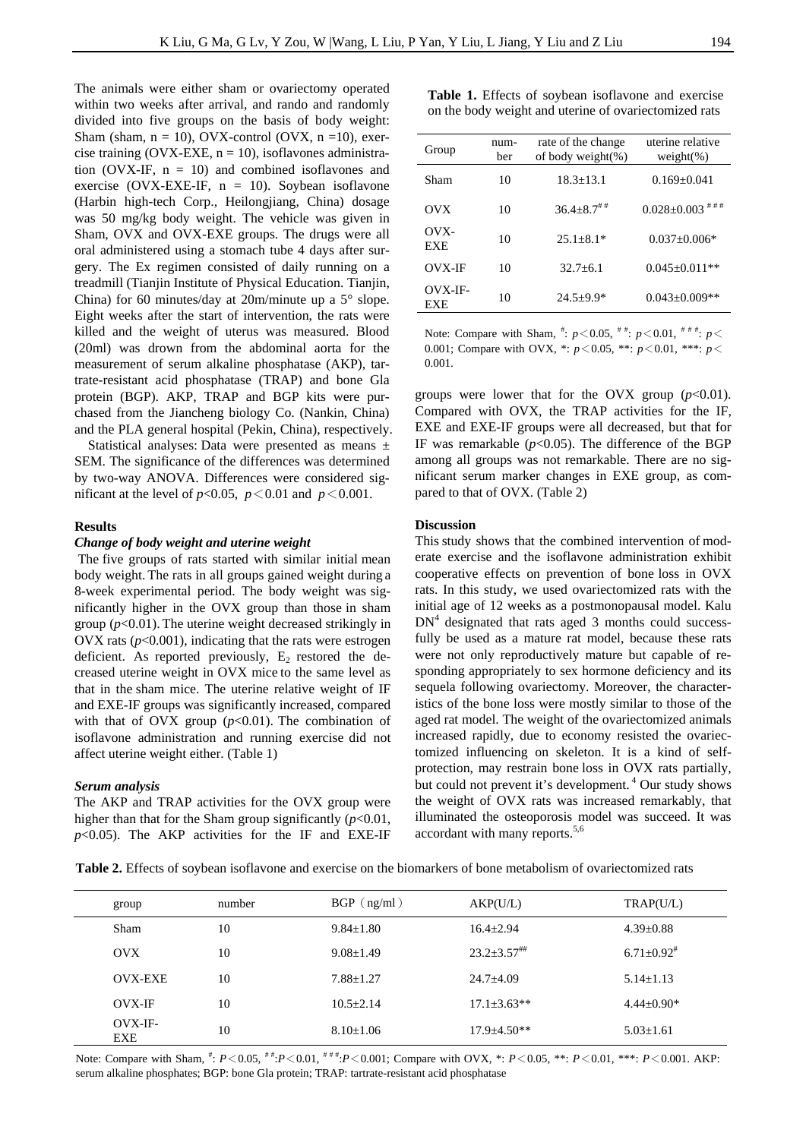The animals were either sham or ovariectomy operated within two weeks after arrival, and rando and randomly divided into five groups on the basis of body weight: Sham (sham,  $n = 10$ ), OVX-control (OVX,  $n = 10$ ), exercise training (OVX-EXE,  $n = 10$ ), isoflavones administration (OVX-IF,  $n = 10$ ) and combined isoflavones and exercise (OVX-EXE-IF,  $n = 10$ ). Soybean isoflavone (Harbin high-tech Corp., Heilongjiang, China) dosage was 50 mg/kg body weight. The vehicle was given in Sham, OVX and OVX-EXE groups. The drugs were all oral administered using a stomach tube 4 days after surgery. The Ex regimen consisted of daily running on a treadmill (Tianjin Institute of Physical Education. Tianjin, China) for 60 minutes/day at 20m/minute up a  $5^{\circ}$  slope. Eight weeks after the start of intervention, the rats were killed and the weight of uterus was measured. Blood (20ml) was drown from the abdominal aorta for the measurement of serum alkaline phosphatase (AKP), tartrate-resistant acid phosphatase (TRAP) and bone Gla protein (BGP). AKP, TRAP and BGP kits were purchased from the Jiancheng biology Co. (Nankin, China) and the PLA general hospital (Pekin, China), respectively.

Statistical analyses: Data were presented as means  $\pm$ SEM. The significance of the differences was determined by two-way ANOVA. Differences were considered significant at the level of  $p<0.05$ ,  $p<0.01$  and  $p<0.001$ .

### **Results**

## *Change of body weight and uterine weight*

 The five groups of rats started with similar initial mean body weight. The rats in all groups gained weight during a 8-week experimental period. The body weight was significantly higher in the OVX group than those in sham group (*p*<0.01). The uterine weight decreased strikingly in OVX rats  $(p<0.001)$ , indicating that the rats were estrogen deficient. As reported previously,  $E_2$  restored the decreased uterine weight in OVX mice to the same level as that in the sham mice. The uterine relative weight of IF and EXE-IF groups was significantly increased, compared with that of OVX group  $(p<0.01)$ . The combination of isoflavone administration and running exercise did not affect uterine weight either. (Table 1)

#### *Serum analysis*

The AKP and TRAP activities for the OVX group were higher than that for the Sham group significantly (*p*<0.01,  $p$ <0.05). The AKP activities for the IF and EXE-IF **Table 1.** Effects of soybean isoflavone and exercise on the body weight and uterine of ovariectomized rats

| Group              | num-<br>ber | rate of the change<br>of body weight $(\%)$ | uterine relative<br>weight $(\%)$ |  |
|--------------------|-------------|---------------------------------------------|-----------------------------------|--|
| Sham               | 10          | $18.3 + 13.1$                               | $0.169 + 0.041$                   |  |
| OVX                | 10          | $36.4 + 8.7$ <sup>##</sup>                  | # # #<br>$0.028 \pm 0.003$        |  |
| OVX-<br><b>EXE</b> | 10          | $25.1 + 8.1*$                               | $0.037 + 0.006*$                  |  |
| <b>OVX-IF</b>      | 10          | $32.7 + 6.1$                                | $0.045 + 0.011**$                 |  |
| OVX-IF-<br>EXE     | 10          | $24.5 + 9.9*$                               | $0.043 + 0.009**$                 |  |

Note: Compare with Sham,  $\stackrel{\#}{\cdot}$ :  $p < 0.05$ ,  $\stackrel{\#}{\cdot}$   $\stackrel{\#}{\cdot}$   $p < 0.01$ ,  $\stackrel{\#}{\cdot}$   $\stackrel{\#}{\cdot}$   $p <$ 0.001; Compare with OVX, \*: *p*<0.05, \*\*: *p*<0.01, \*\*\*: *p*< 0.001.

groups were lower that for the OVX group  $(p<0.01)$ . Compared with OVX, the TRAP activities for the IF, EXE and EXE-IF groups were all decreased, but that for IF was remarkable  $(p<0.05)$ . The difference of the BGP among all groups was not remarkable. There are no significant serum marker changes in EXE group, as compared to that of OVX. (Table 2)

#### **Discussion**

This study shows that the combined intervention of moderate exercise and the isoflavone administration exhibit cooperative effects on prevention of bone loss in OVX rats. In this study, we used ovariectomized rats with the initial age of 12 weeks as a postmonopausal model. Kalu  $DN<sup>4</sup>$  designated that rats aged 3 months could successfully be used as a mature rat model, because these rats were not only reproductively mature but capable of responding appropriately to sex hormone deficiency and its sequela following ovariectomy. Moreover, the characteristics of the bone loss were mostly similar to those of the aged rat model. The weight of the ovariectomized animals increased rapidly, due to economy resisted the ovariectomized influencing on skeleton. It is a kind of selfprotection, may restrain bone loss in OVX rats partially, but could not prevent it's development.<sup>4</sup> Our study shows the weight of OVX rats was increased remarkably, that illuminated the osteoporosis model was succeed. It was accordant with many reports.<sup>5,6</sup>

**Table 2.** Effects of soybean isoflavone and exercise on the biomarkers of bone metabolism of ovariectomized rats

| group                   | number | $BGP$ ( $ng/ml$ ) | AKP(U/L)           | TRAP(U/L)                  |
|-------------------------|--------|-------------------|--------------------|----------------------------|
| <b>Sham</b>             | 10     | $9.84 + 1.80$     | $16.4 + 2.94$      | $4.39 \pm 0.88$            |
| OVX                     | 10     | $9.08 \pm 1.49$   | $23.2 \pm 3.57$ ## | $6.71 + 0.92$ <sup>#</sup> |
| <b>OVX-EXE</b>          | 10     | $7.88 \pm 1.27$   | $24.7 \pm 4.09$    | $5.14 + 1.13$              |
| OVX-IF                  | 10     | $10.5 + 2.14$     | $17.1 + 3.63**$    | $4.44+0.90*$               |
| $Ovx-IF-$<br><b>EXE</b> | 10     | $8.10 \pm 1.06$   | $17.9 + 4.50**$    | $5.03 \pm 1.61$            |

Note: Compare with Sham,  $*$ :  $P < 0.05$ ,  $**$ :  $P < 0.01$ ,  $**$ :  $P < 0.001$ ; Compare with OVX,  $*$ :  $P < 0.05$ ,  $**$ :  $P < 0.01$ ,  $**$ :  $P < 0.001$ . AKP: serum alkaline phosphates; BGP: bone Gla protein; TRAP: tartrate-resistant acid phosphatase